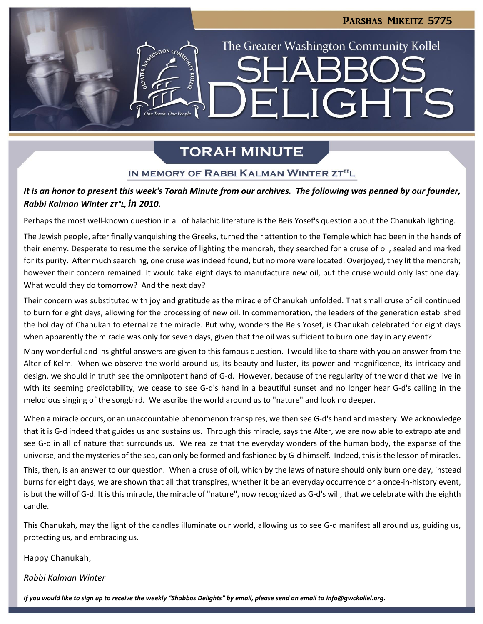**LIGHTS** 

The Greater Washington Community Kollel

# **TORAH MINUTE**

 $\blacksquare$ 

## IN MEMORY OF RABBI KALMAN WINTER ZT"L

## *It is an honor to present this week's Torah Minute from our archives. The following was penned by our founder, Rabbi Kalman Winter ZT"L, in 2010.*

Perhaps the most well-known question in all of halachic literature is the Beis Yosef's question about the Chanukah lighting.

The Jewish people, after finally vanquishing the Greeks, turned their attention to the Temple which had been in the hands of their enemy. Desperate to resume the service of lighting the menorah, they searched for a cruse of oil, sealed and marked for its purity. After much searching, one cruse was indeed found, but no more were located. Overjoyed, they lit the menorah; however their concern remained. It would take eight days to manufacture new oil, but the cruse would only last one day. What would they do tomorrow? And the next day?

Their concern was substituted with joy and gratitude as the miracle of Chanukah unfolded. That small cruse of oil continued to burn for eight days, allowing for the processing of new oil. In commemoration, the leaders of the generation established the holiday of Chanukah to eternalize the miracle. But why, wonders the Beis Yosef, is Chanukah celebrated for eight days when apparently the miracle was only for seven days, given that the oil was sufficient to burn one day in any event?

Many wonderful and insightful answers are given to this famous question. I would like to share with you an answer from the Alter of Kelm. When we observe the world around us, its beauty and luster, its power and magnificence, its intricacy and design, we should in truth see the omnipotent hand of G-d. However, because of the regularity of the world that we live in with its seeming predictability, we cease to see G-d's hand in a beautiful sunset and no longer hear G-d's calling in the melodious singing of the songbird. We ascribe the world around us to "nature" and look no deeper.

When a miracle occurs, or an unaccountable phenomenon transpires, we then see G-d's hand and mastery. We acknowledge that it is G-d indeed that guides us and sustains us. Through this miracle, says the Alter, we are now able to extrapolate and see G-d in all of nature that surrounds us. We realize that the everyday wonders of the human body, the expanse of the universe, and the mysteries of the sea, can only be formed and fashioned by G-d himself. Indeed, this is the lesson of miracles.

This, then, is an answer to our question. When a cruse of oil, which by the laws of nature should only burn one day, instead burns for eight days, we are shown that all that transpires, whether it be an everyday occurrence or a once-in-history event, is but the will of G-d. It is this miracle, the miracle of "nature", now recognized as G-d's will, that we celebrate with the eighth candle.

This Chanukah, may the light of the candles illuminate our world, allowing us to see G-d manifest all around us, guiding us, protecting us, and embracing us.

Happy Chanukah,

*Rabbi Kalman Winter*

*If you would like to sign up to receive the weekly "Shabbos Delights" by email, please send an email to [info@gwckollel.org.](mailto:info@gwckollel.org)*